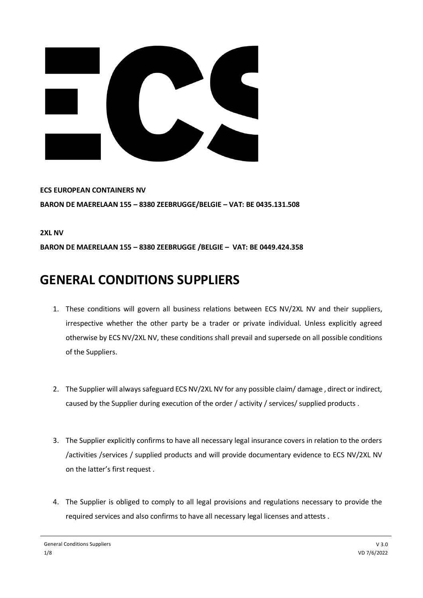

**ECS EUROPEAN CONTAINERS NV BARON DE MAERELAAN 155 – 8380 ZEEBRUGGE/BELGIE – VAT: BE 0435.131.508**

**2XL NV**

**BARON DE MAERELAAN 155 – 8380 ZEEBRUGGE /BELGIE – VAT: BE 0449.424.358**

## **GENERAL CONDITIONS SUPPLIERS**

- 1. These conditions will govern all business relations between ECS NV/2XL NV and their suppliers, irrespective whether the other party be a trader or private individual. Unless explicitly agreed otherwise by ECS NV/2XL NV, these conditions shall prevail and supersede on all possible conditions of the Suppliers.
- 2. The Supplier will always safeguard ECS NV/2XL NV for any possible claim/ damage , direct or indirect, caused by the Supplier during execution of the order / activity / services/ supplied products .
- 3. The Supplier explicitly confirms to have all necessary legal insurance covers in relation to the orders /activities /services / supplied products and will provide documentary evidence to ECS NV/2XL NV on the latter's first request .
- 4. The Supplier is obliged to comply to all legal provisions and regulations necessary to provide the required services and also confirms to have all necessary legal licenses and attests .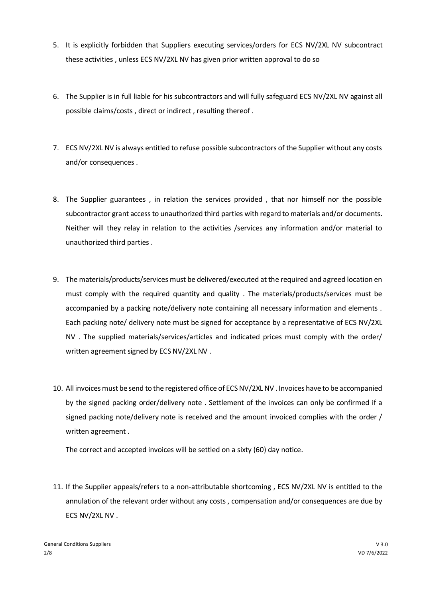- 5. It is explicitly forbidden that Suppliers executing services/orders for ECS NV/2XL NV subcontract these activities , unless ECS NV/2XL NV has given prior written approval to do so
- 6. The Supplier is in full liable for his subcontractors and will fully safeguard ECS NV/2XL NV against all possible claims/costs , direct or indirect , resulting thereof .
- 7. ECS NV/2XL NV is always entitled to refuse possible subcontractors of the Supplier without any costs and/or consequences .
- 8. The Supplier guarantees , in relation the services provided , that nor himself nor the possible subcontractor grant access to unauthorized third parties with regard to materials and/or documents. Neither will they relay in relation to the activities /services any information and/or material to unauthorized third parties .
- 9. The materials/products/services must be delivered/executed at the required and agreed location en must comply with the required quantity and quality . The materials/products/services must be accompanied by a packing note/delivery note containing all necessary information and elements . Each packing note/ delivery note must be signed for acceptance by a representative of ECS NV/2XL NV . The supplied materials/services/articles and indicated prices must comply with the order/ written agreement signed by ECS NV/2XL NV .
- 10. All invoices must be send to the registered office of ECS NV/2XL NV . Invoices have to be accompanied by the signed packing order/delivery note . Settlement of the invoices can only be confirmed if a signed packing note/delivery note is received and the amount invoiced complies with the order / written agreement .

The correct and accepted invoices will be settled on a sixty (60) day notice.

11. If the Supplier appeals/refers to a non-attributable shortcoming , ECS NV/2XL NV is entitled to the annulation of the relevant order without any costs , compensation and/or consequences are due by ECS NV/2XL NV .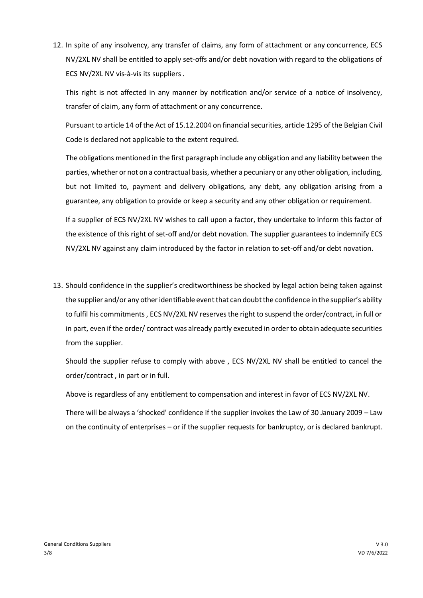12. In spite of any insolvency, any transfer of claims, any form of attachment or any concurrence, ECS NV/2XL NV shall be entitled to apply set-offs and/or debt novation with regard to the obligations of ECS NV/2XL NV vis-à-vis its suppliers .

This right is not affected in any manner by notification and/or service of a notice of insolvency, transfer of claim, any form of attachment or any concurrence.

Pursuant to article 14 of the Act of 15.12.2004 on financial securities, article 1295 of the Belgian Civil Code is declared not applicable to the extent required.

The obligations mentioned in the first paragraph include any obligation and any liability between the parties, whether or not on a contractual basis, whether a pecuniary or any other obligation, including, but not limited to, payment and delivery obligations, any debt, any obligation arising from a guarantee, any obligation to provide or keep a security and any other obligation or requirement.

If a supplier of ECS NV/2XL NV wishes to call upon a factor, they undertake to inform this factor of the existence of this right of set-off and/or debt novation. The supplier guarantees to indemnify ECS NV/2XL NV against any claim introduced by the factor in relation to set-off and/or debt novation.

13. Should confidence in the supplier's creditworthiness be shocked by legal action being taken against the supplier and/or any other identifiable event that can doubt the confidence in the supplier's ability to fulfil his commitments , ECS NV/2XL NV reserves the right to suspend the order/contract, in full or in part, even if the order/ contract was already partly executed in order to obtain adequate securities from the supplier.

Should the supplier refuse to comply with above , ECS NV/2XL NV shall be entitled to cancel the order/contract , in part or in full.

Above is regardless of any entitlement to compensation and interest in favor of ECS NV/2XL NV.

There will be always a 'shocked' confidence if the supplier invokes the Law of 30 January 2009 – Law on the continuity of enterprises – or if the supplier requests for bankruptcy, or is declared bankrupt.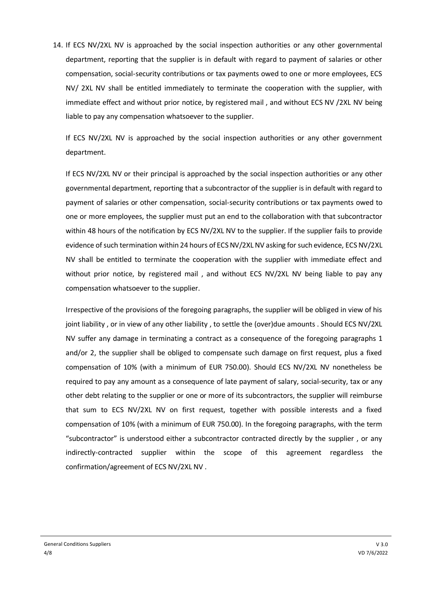14. If ECS NV/2XL NV is approached by the social inspection authorities or any other governmental department, reporting that the supplier is in default with regard to payment of salaries or other compensation, social-security contributions or tax payments owed to one or more employees, ECS NV/ 2XL NV shall be entitled immediately to terminate the cooperation with the supplier, with immediate effect and without prior notice, by registered mail , and without ECS NV /2XL NV being liable to pay any compensation whatsoever to the supplier.

If ECS NV/2XL NV is approached by the social inspection authorities or any other government department.

If ECS NV/2XL NV or their principal is approached by the social inspection authorities or any other governmental department, reporting that a subcontractor of the supplier is in default with regard to payment of salaries or other compensation, social-security contributions or tax payments owed to one or more employees, the supplier must put an end to the collaboration with that subcontractor within 48 hours of the notification by ECS NV/2XL NV to the supplier. If the supplier fails to provide evidence of such termination within 24 hours of ECS NV/2XL NV asking for such evidence, ECS NV/2XL NV shall be entitled to terminate the cooperation with the supplier with immediate effect and without prior notice, by registered mail , and without ECS NV/2XL NV being liable to pay any compensation whatsoever to the supplier.

Irrespective of the provisions of the foregoing paragraphs, the supplier will be obliged in view of his joint liability , or in view of any other liability , to settle the (over)due amounts . Should ECS NV/2XL NV suffer any damage in terminating a contract as a consequence of the foregoing paragraphs 1 and/or 2, the supplier shall be obliged to compensate such damage on first request, plus a fixed compensation of 10% (with a minimum of EUR 750.00). Should ECS NV/2XL NV nonetheless be required to pay any amount as a consequence of late payment of salary, social-security, tax or any other debt relating to the supplier or one or more of its subcontractors, the supplier will reimburse that sum to ECS NV/2XL NV on first request, together with possible interests and a fixed compensation of 10% (with a minimum of EUR 750.00). In the foregoing paragraphs, with the term "subcontractor" is understood either a subcontractor contracted directly by the supplier , or any indirectly-contracted supplier within the scope of this agreement regardless the confirmation/agreement of ECS NV/2XL NV .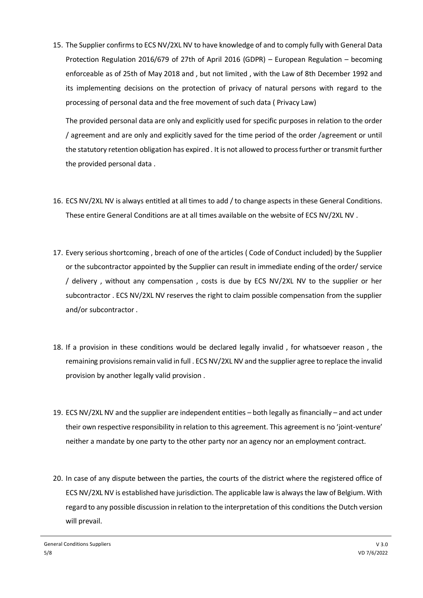15. The Supplier confirms to ECS NV/2XL NV to have knowledge of and to comply fully with General Data Protection Regulation 2016/679 of 27th of April 2016 (GDPR) – European Regulation – becoming enforceable as of 25th of May 2018 and , but not limited , with the Law of 8th December 1992 and its implementing decisions on the protection of privacy of natural persons with regard to the processing of personal data and the free movement of such data ( Privacy Law)

The provided personal data are only and explicitly used for specific purposes in relation to the order / agreement and are only and explicitly saved for the time period of the order /agreement or until the statutory retention obligation has expired . It is not allowed to process further or transmit further the provided personal data .

- 16. ECS NV/2XL NV is always entitled at all times to add / to change aspects in these General Conditions. These entire General Conditions are at all times available on the website of ECS NV/2XL NV .
- 17. Every serious shortcoming , breach of one of the articles ( Code of Conduct included) by the Supplier or the subcontractor appointed by the Supplier can result in immediate ending of the order/ service / delivery , without any compensation , costs is due by ECS NV/2XL NV to the supplier or her subcontractor . ECS NV/2XL NV reserves the right to claim possible compensation from the supplier and/or subcontractor .
- 18. If a provision in these conditions would be declared legally invalid , for whatsoever reason , the remaining provisions remain valid in full . ECS NV/2XL NV and the supplier agree to replace the invalid provision by another legally valid provision .
- 19. ECS NV/2XL NV and the supplier are independent entities both legally as financially and act under their own respective responsibility in relation to this agreement. This agreement is no 'joint-venture' neither a mandate by one party to the other party nor an agency nor an employment contract.
- 20. In case of any dispute between the parties, the courts of the district where the registered office of ECS NV/2XL NV is established have jurisdiction. The applicable law is always the law of Belgium. With regard to any possible discussion in relation to the interpretation of this conditions the Dutch version will prevail.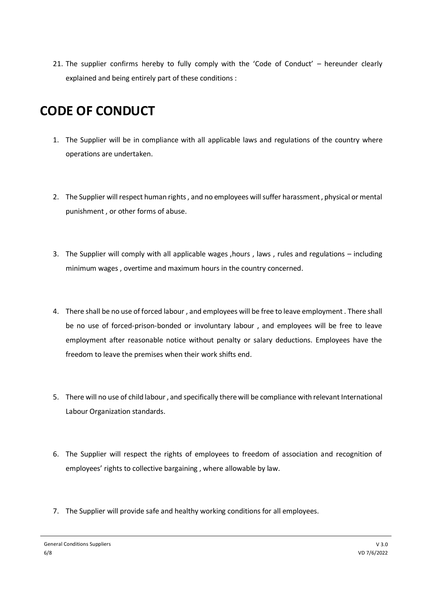21. The supplier confirms hereby to fully comply with the 'Code of Conduct' – hereunder clearly explained and being entirely part of these conditions :

## **CODE OF CONDUCT**

- 1. The Supplier will be in compliance with all applicable laws and regulations of the country where operations are undertaken.
- 2. The Supplier will respect human rights , and no employees will suffer harassment , physical or mental punishment , or other forms of abuse.
- 3. The Supplier will comply with all applicable wages ,hours , laws , rules and regulations including minimum wages , overtime and maximum hours in the country concerned.
- 4. There shall be no use of forced labour , and employees will be free to leave employment . There shall be no use of forced-prison-bonded or involuntary labour , and employees will be free to leave employment after reasonable notice without penalty or salary deductions. Employees have the freedom to leave the premises when their work shifts end.
- 5. There will no use of child labour , and specifically there will be compliance with relevant International Labour Organization standards.
- 6. The Supplier will respect the rights of employees to freedom of association and recognition of employees' rights to collective bargaining , where allowable by law.
- 7. The Supplier will provide safe and healthy working conditions for all employees.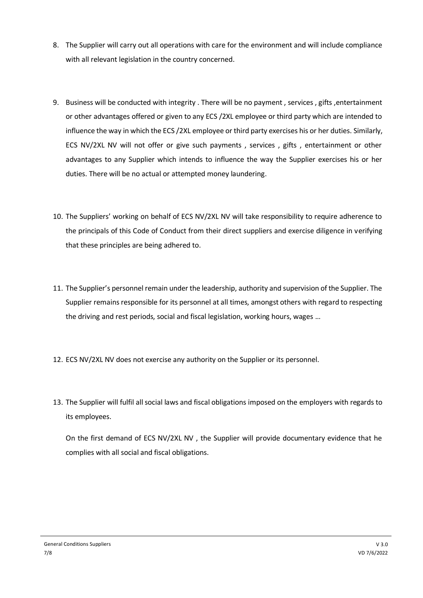- 8. The Supplier will carry out all operations with care for the environment and will include compliance with all relevant legislation in the country concerned.
- 9. Business will be conducted with integrity . There will be no payment , services , gifts ,entertainment or other advantages offered or given to any ECS /2XL employee or third party which are intended to influence the way in which the ECS /2XL employee or third party exercises his or her duties. Similarly, ECS NV/2XL NV will not offer or give such payments , services , gifts , entertainment or other advantages to any Supplier which intends to influence the way the Supplier exercises his or her duties. There will be no actual or attempted money laundering.
- 10. The Suppliers' working on behalf of ECS NV/2XL NV will take responsibility to require adherence to the principals of this Code of Conduct from their direct suppliers and exercise diligence in verifying that these principles are being adhered to.
- 11. The Supplier's personnel remain under the leadership, authority and supervision of the Supplier. The Supplier remains responsible for its personnel at all times, amongst others with regard to respecting the driving and rest periods, social and fiscal legislation, working hours, wages …
- 12. ECS NV/2XL NV does not exercise any authority on the Supplier or its personnel.
- 13. The Supplier will fulfil all social laws and fiscal obligations imposed on the employers with regards to its employees.

On the first demand of ECS NV/2XL NV , the Supplier will provide documentary evidence that he complies with all social and fiscal obligations.